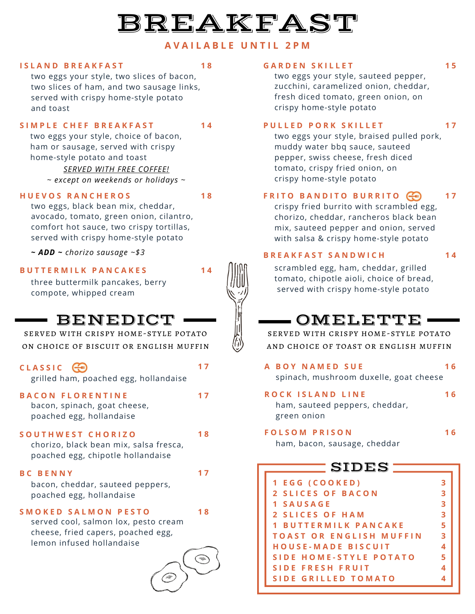# BREAKFAST

### **A V A I L A B L E U N T I L 2 P M**

#### **I S L A N D B R E A K F A S T**

**1 8**

two eggs your style, two slices of bacon, two slices of ham, and two sausage links, served with crispy home-style potato and toast

#### **S I M P L E C H E F B R E A K F A S T**

**1 4**

two eggs your style, choice of bacon, ham or sausage, served with crispy home-style potato and toast *SERVED WITH FREE COFFEE!*

*~ except on weekends or holidays ~*

#### **H U E V O S R A N C H E R O S**

**1 8**

**1 4**

two eggs, black bean mix, cheddar, avocado, tomato, green onion, cilantro, comfort hot sauce, two crispy tortillas, served with crispy home-style potato

*~ ADD ~ chorizo sausage ~\$3*

#### **B U T T E R M I L K P A N C A K E S**



three buttermilk pancakes, berry compote, whipped cream

## BENEDICT

served with crispy home-style potato on choice of biscuit or english muffin

| CLASSIC G<br>grilled ham, poached egg, hollandaise                                                                             |     |
|--------------------------------------------------------------------------------------------------------------------------------|-----|
| <b>BACON FLORENTINE</b><br>bacon, spinach, goat cheese,<br>poached egg, hollandaise                                            |     |
| SOUTHWEST CHORIZO<br>chorizo, black bean mix, salsa fresca,<br>poached egg, chipotle hollandaise                               | 18  |
| <b>BC BENNY</b><br>bacon, cheddar, sauteed peppers,<br>poached egg, hollandaise                                                |     |
| SMOKED SALMON PESTO<br>served cool, salmon lox, pesto cream<br>cheese, fried capers, poached egg,<br>lemon infused hollandaise | 1 8 |
|                                                                                                                                |     |

#### **G A R D E N S K I L L E T**

two eggs your style, sauteed pepper, zucchini, caramelized onion, cheddar, fresh diced tomato, green onion, on crispy home-style potato

#### **P U L L E D P O R K S K I L L E T**

two eggs your style, braised pulled pork, muddy water bbq sauce, sauteed pepper, swiss cheese, fresh diced tomato, crispy fried onion, on crispy home-style potato

#### **FRITO BANDITO BURRITO**  $\overline{C_1}$ **1 7**

crispy fried burrito with scrambled egg, chorizo, cheddar, rancheros black bean mix, sauteed pepper and onion, served with salsa & crispy home-style potato

#### **B R E A K F A S T S A N D W I C H**

**1 4**

**1 5**

**1 7**

scrambled egg, ham, cheddar, grilled tomato, chipotle aioli, choice of bread, served with crispy home-style potato

# OMELETTE

served with crispy home-style potato and choice of toast or english muffin

- **A B O Y N A M E D S U E** spinach, mushroom duxelle, goat cheese **1 6**
- **R O C K I S L A N D L I N E 1 6** ham, sauteed peppers, cheddar, green onion
- **F O L S O M P R I S O N 1 6**
	- ham, bacon, sausage, cheddar

## SIDES

| 1 EGG (COOKED)                 |   |
|--------------------------------|---|
| 2 SLICES OF BACON              |   |
| 1 SAUSAGE                      | 3 |
| 2 SLICES OF HAM                | 3 |
| <b>1 BUTTERMILK PANCAKE</b>    |   |
| <b>TOAST OR ENGLISH MUFFIN</b> | 3 |
| <b>HOUSE-MADE BISCUIT</b>      |   |
| SIDE HOME-STYLE POTATO         |   |
| SIDE FRESH FRUIT               |   |
| <b>SIDE GRILLED TOMATO</b>     |   |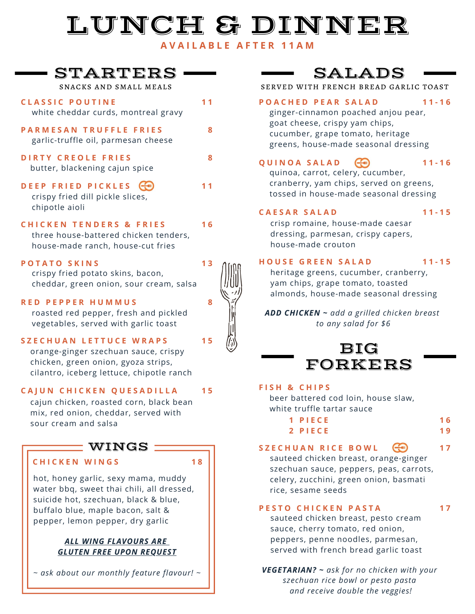# LUNCH & DINNER

**A V A I L A B L E A F T E R 1 1 A M**

| STARTERS                                                                                                                                                  |                                                                       |
|-----------------------------------------------------------------------------------------------------------------------------------------------------------|-----------------------------------------------------------------------|
| SNACKS AND SMALL MEALS                                                                                                                                    | SERVED                                                                |
| <b>CLASSIC POUTINE</b><br>white cheddar curds, montreal gravy                                                                                             | POACH<br>11<br>ginger                                                 |
| <b>PARMESAN TRUFFLE FRIES</b><br>garlic-truffle oil, parmesan cheese                                                                                      | goat cl<br>8<br>cucum<br>greens                                       |
| <b>DIRTY CREOLE FRIES</b><br>butter, blackening cajun spice                                                                                               | 8<br>QUINO.<br>quinoa                                                 |
| DEEP FRIED PICKLES<br>crispy fried dill pickle slices,<br>chipotle aioli                                                                                  | cranbe<br>11<br>tossed                                                |
| <b>CHICKEN TENDERS &amp; FRIES</b><br>three house-battered chicken tenders,<br>house-made ranch, house-cut fries                                          | CAESAR<br>crisp r<br>16<br>dressi<br>house                            |
| <b>POTATO SKINS</b><br>crispy fried potato skins, bacon,<br>cheddar, green onion, sour cream, salsa                                                       | HOUSE<br>13<br>herita<br>yam cł<br>almon                              |
| <b>RED PEPPER HUMMUS</b><br>roasted red pepper, fresh and pickled<br>vegetables, served with garlic toast                                                 | 8<br>ADD CH                                                           |
| <b>SZECHUAN LETTUCE WRAPS</b><br>orange-ginger szechuan sauce, crispy<br>chicken, green onion, gyoza strips,<br>cilantro, iceberg lettuce, chipotle ranch | 15                                                                    |
| CAJUN CHICKEN QUESADILLA<br>cajun chicken, roasted corn, black bean<br>mix, red onion, cheddar, served with<br>sour cream and salsa                       | FISH<br>&<br>1 <sub>5</sub><br>beer b<br>white t<br>1<br>$\mathbf{2}$ |
| WINGS                                                                                                                                                     | <b>SZECHU</b>                                                         |
| CHICKEN WINGS<br>18                                                                                                                                       | sautee                                                                |
| hot, honey garlic, sexy mama, muddy<br>water bbq, sweet thai chili, all dressed,                                                                          | szechu<br>celery,<br>rice, se                                         |
| suicide hot, szechuan, black & blue,<br>buffalo blue, maple bacon, salt &<br>pepper, lemon pepper, dry garlic                                             | <b>PESTO</b><br>sautee                                                |

#### *ALL WING FLAVOURS ARE GLUTEN FREE UPON REQUEST*

*~ ask about our monthly feature flavour! ~*

# SALADS

WITH FRENCH BREAD GARLIC TOAST

|  |  |  | POACHED PEAR SALAD                                                                                                                                                                                                              |  |  |  |  |  |  |  |  |
|--|--|--|---------------------------------------------------------------------------------------------------------------------------------------------------------------------------------------------------------------------------------|--|--|--|--|--|--|--|--|
|  |  |  | $\sim$ . The contract of the contract of the contract of the contract of the contract of the contract of the contract of the contract of the contract of the contract of the contract of the contract of the contract of the co |  |  |  |  |  |  |  |  |

**1 1 - 1 6**

-cinnamon poached anjou pear, heese, crispy yam chips, ber, grape tomato, heritage , house-made seasonal dressing

#### **1 1 - 1 6 Q U I N O A S A L A D** Æ

a, carrot, celery, cucumber, rry, yam chips, served on greens, in house-made seasonal dressing

#### **C A E S A R S A L A D**

**1 1 - 1 5**

omaine, house-made caesar ng, parmesan, crispy capers, -made crouton

#### $A$  **G**  $R$  **E E N**  $S$  **A**  $L$  **A**  $D$

**1 1 - 1 5**

ge greens, cucumber, cranberry, hips, grape tomato, toasted ds, house-made seasonal dressing

*ADD CHICKEN ~ add a grilled chicken breast to any salad for \$6*

# BIG FORKERS

#### **F I S H & C H I P S**

attered cod loin, house slaw, truffle tartar sauce

| 1 PIECE | 16 |
|---------|----|
| 2 PIECE | 19 |

## **S Z E C H U A N R I C E B O W L**

**1 7**

d chicken breast, orange-ginger an sauce, peppers, peas, carrots, zucchini, green onion, basmati esame seeds

#### **P E S T O C H I C K E N P A S T A**

**1 7**

sauteed chicken breast, pesto cream sauce, cherry tomato, red onion, peppers, penne noodles, parmesan, served with french bread garlic toast

*VEGETARIAN? ~ ask for no chicken with your szechuan rice bowl or pesto pasta and receive double the veggies!*